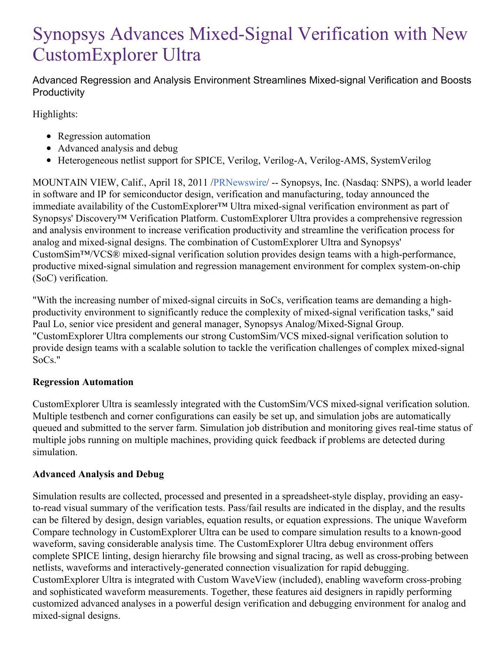# Synopsys Advances Mixed-Signal Verification with New CustomExplorer Ultra

Advanced Regression and Analysis Environment Streamlines Mixed-signal Verification and Boosts **Productivity** 

Highlights:

- Regression automation
- Advanced analysis and debug
- Heterogeneous netlist support for SPICE, Verilog, Verilog-A, Verilog-AMS, SystemVerilog

MOUNTAIN VIEW, Calif., April 18, 2011 [/PRNewswire](http://www.prnewswire.com/)/ -- Synopsys, Inc. (Nasdaq: SNPS), a world leader in software and IP for semiconductor design, verification and manufacturing, today announced the immediate availability of the CustomExplorer™ Ultra mixed-signal verification environment as part of Synopsys' Discovery™ Verification Platform. CustomExplorer Ultra provides a comprehensive regression and analysis environment to increase verification productivity and streamline the verification process for analog and mixed-signal designs. The combination of CustomExplorer Ultra and Synopsys' CustomSim™/VCS® mixed-signal verification solution provides design teams with a high-performance, productive mixed-signal simulation and regression management environment for complex system-on-chip (SoC) verification.

"With the increasing number of mixed-signal circuits in SoCs, verification teams are demanding a highproductivity environment to significantly reduce the complexity of mixed-signal verification tasks," said Paul Lo, senior vice president and general manager, Synopsys Analog/Mixed-Signal Group. "CustomExplorer Ultra complements our strong CustomSim/VCS mixed-signal verification solution to provide design teams with a scalable solution to tackle the verification challenges of complex mixed-signal SoCs."

# **Regression Automation**

CustomExplorer Ultra is seamlessly integrated with the CustomSim/VCS mixed-signal verification solution. Multiple testbench and corner configurations can easily be set up, and simulation jobs are automatically queued and submitted to the server farm. Simulation job distribution and monitoring gives real-time status of multiple jobs running on multiple machines, providing quick feedback if problems are detected during simulation.

# **Advanced Analysis and Debug**

Simulation results are collected, processed and presented in a spreadsheet-style display, providing an easyto-read visual summary of the verification tests. Pass/fail results are indicated in the display, and the results can be filtered by design, design variables, equation results, or equation expressions. The unique Waveform Compare technology in CustomExplorer Ultra can be used to compare simulation results to a known-good waveform, saving considerable analysis time. The CustomExplorer Ultra debug environment offers complete SPICE linting, design hierarchy file browsing and signal tracing, as well as cross-probing between netlists, waveforms and interactively-generated connection visualization for rapid debugging. CustomExplorer Ultra is integrated with Custom WaveView (included), enabling waveform cross-probing and sophisticated waveform measurements. Together, these features aid designers in rapidly performing customized advanced analyses in a powerful design verification and debugging environment for analog and mixed-signal designs.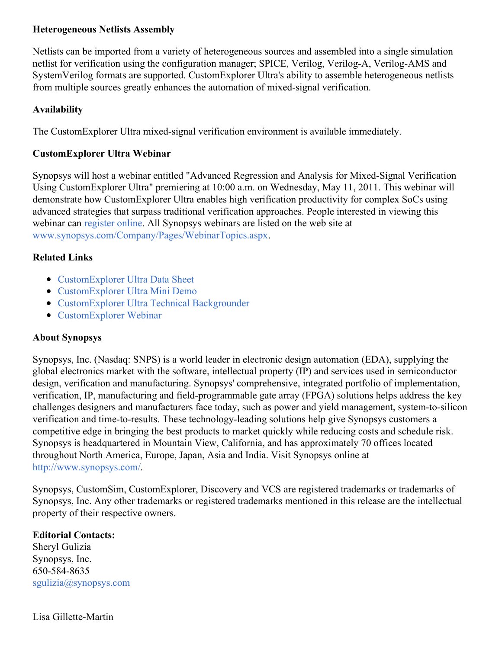## **Heterogeneous Netlists Assembly**

Netlists can be imported from a variety of heterogeneous sources and assembled into a single simulation netlist for verification using the configuration manager; SPICE, Verilog, Verilog-A, Verilog-AMS and SystemVerilog formats are supported. CustomExplorer Ultra's ability to assemble heterogeneous netlists from multiple sources greatly enhances the automation of mixed-signal verification.

## **Availability**

The CustomExplorer Ultra mixed-signal verification environment is available immediately.

## **CustomExplorer Ultra Webinar**

Synopsys will host a webinar entitled "Advanced Regression and Analysis for Mixed-Signal Verification Using CustomExplorer Ultra" premiering at 10:00 a.m. on Wednesday, May 11, 2011. This webinar will demonstrate how CustomExplorer Ultra enables high verification productivity for complex SoCs using advanced strategies that surpass traditional verification approaches. People interested in viewing this webinar can [register](https://event.on24.com/eventRegistration/prereg/register.jsp?eventid=307246&sessionid=1&key=93CC8496A5837CCF6D8456F4B48782BF) online. All Synopsys webinars are listed on the web site at [www.synopsys.com/Company/Pages/WebinarTopics.aspx](http://www.synopsys.com/Company/Pages/WebinarTopics.aspx).

## **Related Links**

- [CustomExplorer](https://www.synopsys.com/verification/ams-verification/waveform-analysis-debug.html) Ultra Data Sheet
- [CustomExplorer](https://www.synopsys.com/verification/ams-verification/waveform-analysis-debug.html) Ultra Mini Demo
- [CustomExplorer](https://www.synopsys.com/verification/ams-verification/waveform-analysis-debug.html) Ultra Technical Backgrounder
- [CustomExplorer](https://event.on24.com/eventRegistration/prereg/register.jsp?eventid=307246&sessionid=1&key=93CC8496A5837CCF6D8456F4B48782BF) Webinar

### **About Synopsys**

Synopsys, Inc. (Nasdaq: SNPS) is a world leader in electronic design automation (EDA), supplying the global electronics market with the software, intellectual property (IP) and services used in semiconductor design, verification and manufacturing. Synopsys' comprehensive, integrated portfolio of implementation, verification, IP, manufacturing and field-programmable gate array (FPGA) solutions helps address the key challenges designers and manufacturers face today, such as power and yield management, system-to-silicon verification and time-to-results. These technology-leading solutions help give Synopsys customers a competitive edge in bringing the best products to market quickly while reducing costs and schedule risk. Synopsys is headquartered in Mountain View, California, and has approximately 70 offices located throughout North America, Europe, Japan, Asia and India. Visit Synopsys online at <http://www.synopsys.com/>.

Synopsys, CustomSim, CustomExplorer, Discovery and VCS are registered trademarks or trademarks of Synopsys, Inc. Any other trademarks or registered trademarks mentioned in this release are the intellectual property of their respective owners.

### **Editorial Contacts:**

Sheryl Gulizia Synopsys, Inc. 650-584-8635 [sgulizia@synopsys.com](mailto:sgulizia@synopsys.com)